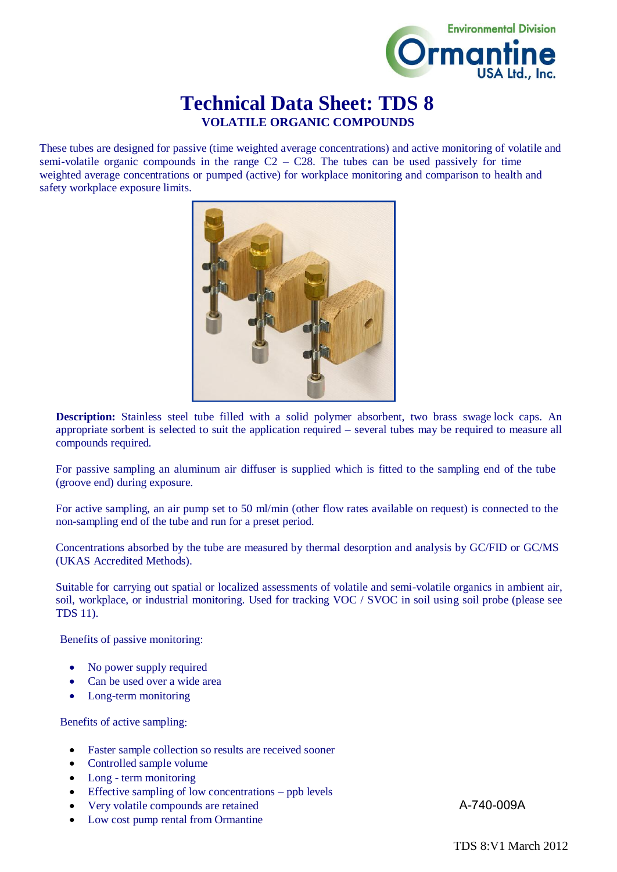

## **Technical Data Sheet: TDS 8 VOLATILE ORGANIC COMPOUNDS**

These tubes are designed for passive (time weighted average concentrations) and active monitoring of volatile and semi-volatile organic compounds in the range  $C2 - C28$ . The tubes can be used passively for time weighted average concentrations or pumped (active) for workplace monitoring and comparison to health and safety workplace exposure limits.



**Description:** Stainless steel tube filled with a solid polymer absorbent, two brass swage lock caps. An appropriate sorbent is selected to suit the application required – several tubes may be required to measure all compounds required.

For passive sampling an aluminum air diffuser is supplied which is fitted to the sampling end of the tube (groove end) during exposure.

For active sampling, an air pump set to 50 ml/min (other flow rates available on request) is connected to the non-sampling end of the tube and run for a preset period.

Concentrations absorbed by the tube are measured by thermal desorption and analysis by GC/FID or GC/MS (UKAS Accredited Methods).

Suitable for carrying out spatial or localized assessments of volatile and semi-volatile organics in ambient air, soil, workplace, or industrial monitoring. Used for tracking VOC / SVOC in soil using soil probe (please see TDS 11).

Benefits of passive monitoring:

- No power supply required
- Can be used over a wide area
- Long-term monitoring

Benefits of active sampling:

- Faster sample collection so results are received sooner
- Controlled sample volume
- Long term monitoring
- Effective sampling of low concentrations ppb levels
- Very volatile compounds are retained
- Low cost pump rental from Ormantine

A-740-009A